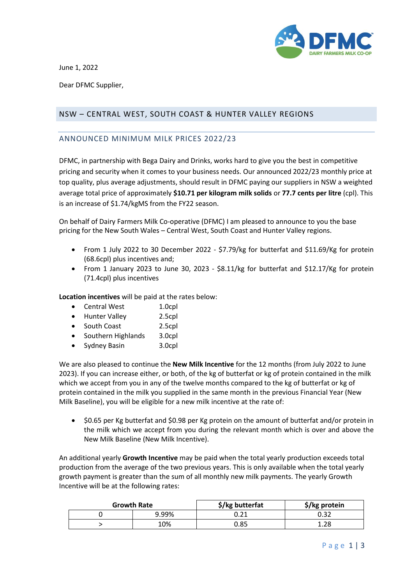

June 1, 2022

Dear DFMC Supplier,

## NSW – CENTRAL WEST, SOUTH COAST & HUNTER VALLEY REGIONS

## ANNOUNCED MINIMUM MILK PRICES 2022/23

DFMC, in partnership with Bega Dairy and Drinks, works hard to give you the best in competitive pricing and security when it comes to your business needs. Our announced 2022/23 monthly price at top quality, plus average adjustments, should result in DFMC paying our suppliers in NSW a weighted average total price of approximately **\$10.71 per kilogram milk solids** or **77.7 cents per litre** (cpl). This is an increase of \$1.74/kgMS from the FY22 season.

On behalf of Dairy Farmers Milk Co-operative (DFMC) I am pleased to announce to you the base pricing for the New South Wales – Central West, South Coast and Hunter Valley regions.

- From 1 July 2022 to 30 December 2022 \$7.79/kg for butterfat and \$11.69/Kg for protein (68.6cpl) plus incentives and;
- From 1 January 2023 to June 30, 2023 \$8.11/kg for butterfat and \$12.17/Kg for protein (71.4cpl) plus incentives

**Location incentives** will be paid at the rates below:

- Central West 1.0cpl
- Hunter Valley 2.5cpl
- South Coast 2.5cpl
- Southern Highlands 3.0cpl
- Sydney Basin 3.0cpl

We are also pleased to continue the **New Milk Incentive** for the 12 months (from July 2022 to June 2023). If you can increase either, or both, of the kg of butterfat or kg of protein contained in the milk which we accept from you in any of the twelve months compared to the kg of butterfat or kg of protein contained in the milk you supplied in the same month in the previous Financial Year (New Milk Baseline), you will be eligible for a new milk incentive at the rate of:

• \$0.65 per Kg butterfat and \$0.98 per Kg protein on the amount of butterfat and/or protein in the milk which we accept from you during the relevant month which is over and above the New Milk Baseline (New Milk Incentive).

An additional yearly **Growth Incentive** may be paid when the total yearly production exceeds total production from the average of the two previous years. This is only available when the total yearly growth payment is greater than the sum of all monthly new milk payments. The yearly Growth Incentive will be at the following rates:

| <b>Growth Rate</b> |       | \$/kg butterfat | \$/kg protein |
|--------------------|-------|-----------------|---------------|
|                    | 9.99% |                 | 0.32          |
|                    | 10%   | 0.85            | 1 70          |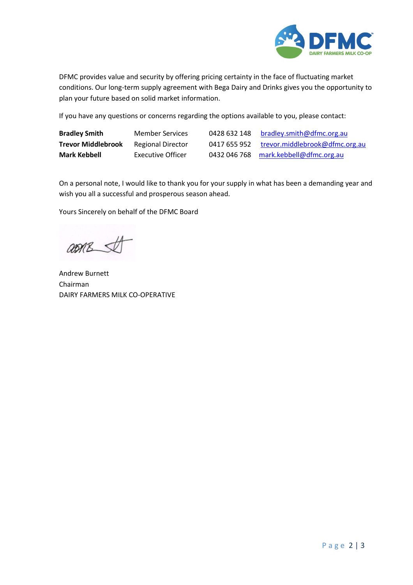

DFMC provides value and security by offering pricing certainty in the face of fluctuating market conditions. Our long-term supply agreement with Bega Dairy and Drinks gives you the opportunity to plan your future based on solid market information.

If you have any questions or concerns regarding the options available to you, please contact:

| <b>Bradley Smith</b>      | <b>Member Services</b>   | 0428 632 148 | bradley.smith@dfmc.org.au             |
|---------------------------|--------------------------|--------------|---------------------------------------|
| <b>Trevor Middlebrook</b> | <b>Regional Director</b> | 0417 655 952 | trevor.middlebrook@dfmc.org.au        |
| Mark Kebbell              | <b>Executive Officer</b> |              | 0432 046 768 mark.kebbell@dfmc.org.au |

On a personal note, I would like to thank you for your supply in what has been a demanding year and wish you all a successful and prosperous season ahead.

Yours Sincerely on behalf of the DFMC Board

asmes

Andrew Burnett Chairman DAIRY FARMERS MILK CO-OPERATIVE